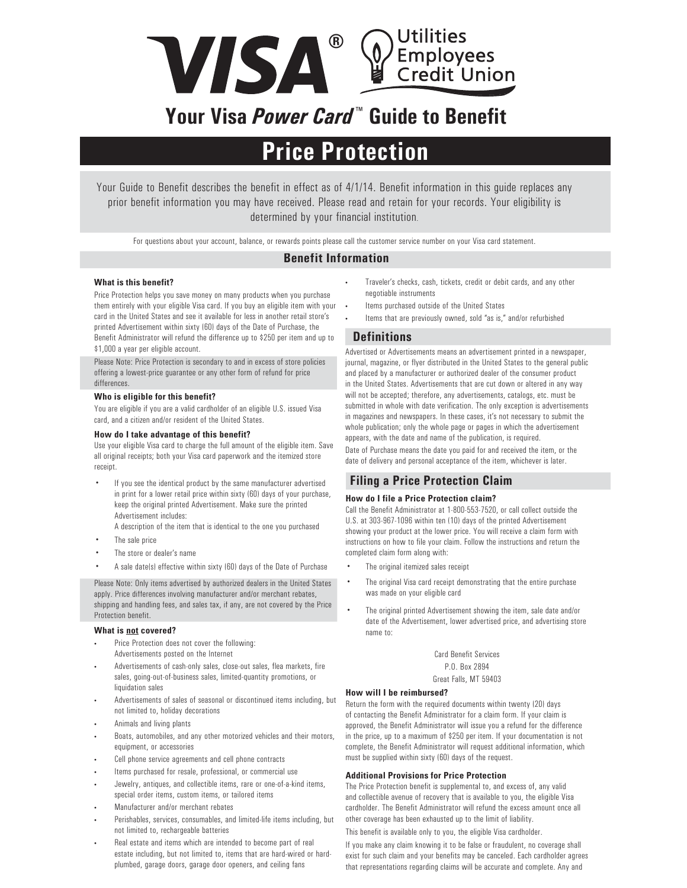

# **Your Visa** *Power Card* **™ Guide to Benefit**

## **Price Protection**

Your Guide to Benefit describes the benefit in effect as of 4/1/14. Benefit information in this guide replaces any prior benefit information you may have received. Please read and retain for your records. Your eligibility is determined by your financial institution.

For questions about your account, balance, or rewards points please call the customer service number on your Visa card statement.

## **Benefit Information**

#### **What is this benefit?**

Price Protection helps you save money on many products when you purchase them entirely with your eligible Visa card. If you buy an eligible item with your card in the United States and see it available for less in another retail store's printed Advertisement within sixty (60) days of the Date of Purchase, the Benefit Administrator will refund the difference up to \$250 per item and up to \$1,000 a year per eligible account.

Please Note: Price Protection is secondary to and in excess of store policies offering a lowest-price guarantee or any other form of refund for price differences.

#### **Who is eligible for this benefit?**

You are eligible if you are a valid cardholder of an eligible U.S. issued Visa card, and a citizen and/or resident of the United States.

#### **How do I take advantage of this benefit?**

Use your eligible Visa card to charge the full amount of the eligible item. Save all original receipts; both your Visa card paperwork and the itemized store receipt.

If you see the identical product by the same manufacturer advertised in print for a lower retail price within sixty (60) days of your purchase, keep the original printed Advertisement. Make sure the printed Advertisement includes:

A description of the item that is identical to the one you purchased

- The sale price
- The store or dealer's name
- A sale date(s) effective within sixty (60) days of the Date of Purchase

Please Note: Only items advertised by authorized dealers in the United States apply. Price differences involving manufacturer and/or merchant rebates, shipping and handling fees, and sales tax, if any, are not covered by the Price Protection benefit.

#### **What is not covered?**

- Price Protection does not cover the following: Advertisements posted on the Internet
- Advertisements of cash-only sales, close-out sales, flea markets, fire sales, going-out-of-business sales, limited-quantity promotions, or liquidation sales
- Advertisements of sales of seasonal or discontinued items including, but not limited to, holiday decorations
- Animals and living plants
- Boats, automobiles, and any other motorized vehicles and their motors, equipment, or accessories
- Cell phone service agreements and cell phone contracts
- Items purchased for resale, professional, or commercial use
- Jewelry, antiques, and collectible items, rare or one-of-a-kind items, special order items, custom items, or tailored items
- Manufacturer and/or merchant rebates
- Perishables, services, consumables, and limited-life items including, but not limited to, rechargeable batteries
- Real estate and items which are intended to become part of real estate including, but not limited to, items that are hard-wired or hardplumbed, garage doors, garage door openers, and ceiling fans
- Traveler's checks, cash, tickets, credit or debit cards, and any other negotiable instruments
- Items purchased outside of the United States
- Items that are previously owned, sold "as is," and/or refurbished

## **Definitions**

Advertised or Advertisements means an advertisement printed in a newspaper, journal, magazine, or flyer distributed in the United States to the general public and placed by a manufacturer or authorized dealer of the consumer product in the United States. Advertisements that are cut down or altered in any way will not be accepted; therefore, any advertisements, catalogs, etc. must be submitted in whole with date verification. The only exception is advertisements in magazines and newspapers. In these cases, it's not necessary to submit the whole publication; only the whole page or pages in which the advertisement appears, with the date and name of the publication, is required.

Date of Purchase means the date you paid for and received the item, or the date of delivery and personal acceptance of the item, whichever is later.

## **Filing a Price Protection Claim**

#### **How do I file a Price Protection claim?**

Call the Benefit Administrator at 1-800-553-7520, or call collect outside the U.S. at 303-967-1096 within ten (10) days of the printed Advertisement showing your product at the lower price. You will receive a claim form with instructions on how to file your claim. Follow the instructions and return the completed claim form along with:

- The original itemized sales receipt
- The original Visa card receipt demonstrating that the entire purchase was made on your eligible card
- The original printed Advertisement showing the item, sale date and/or date of the Advertisement, lower advertised price, and advertising store name to:

Card Benefit Services P.O. Box 2894 Great Falls, MT 59403

#### **How will I be reimbursed?**

Return the form with the required documents within twenty (20) days of contacting the Benefit Administrator for a claim form. If your claim is approved, the Benefit Administrator will issue you a refund for the difference in the price, up to a maximum of \$250 per item. If your documentation is not complete, the Benefit Administrator will request additional information, which must be supplied within sixty (60) days of the request.

### **Additional Provisions for Price Protection**

The Price Protection benefit is supplemental to, and excess of, any valid and collectible avenue of recovery that is available to you, the eligible Visa cardholder. The Benefit Administrator will refund the excess amount once all other coverage has been exhausted up to the limit of liability.

This benefit is available only to you, the eligible Visa cardholder.

If you make any claim knowing it to be false or fraudulent, no coverage shall exist for such claim and your benefits may be canceled. Each cardholder agrees that representations regarding claims will be accurate and complete. Any and